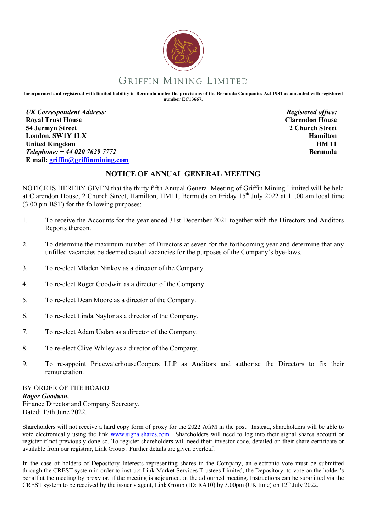

## GRIFFIN MINING LIMITED

**Incorporated and registered with limited liability in Bermuda under the provisions of the Bermuda Companies Act 1981 as amended with registered number EC13667.**

*UK Correspondent Address:*  **Royal Trust House 54 Jermyn Street London. SW1Y 1LX United Kingdom** *Telephone: + 44 020 7629 7772* **E mail: griffin@griffinmining.com**

*Registered office:*  **Clarendon House 2 Church Street Hamilton HM 11 Bermuda**

## **NOTICE OF ANNUAL GENERAL MEETING**

NOTICE IS HEREBY GIVEN that the thirty fifth Annual General Meeting of Griffin Mining Limited will be held at Clarendon House, 2 Church Street, Hamilton, HM11, Bermuda on Friday 15<sup>th</sup> July 2022 at 11.00 am local time (3.00 pm BST) for the following purposes:

- 1. To receive the Accounts for the year ended 31st December 2021 together with the Directors and Auditors Reports thereon.
- 2. To determine the maximum number of Directors at seven for the forthcoming year and determine that any unfilled vacancies be deemed casual vacancies for the purposes of the Company's bye-laws.
- 3. To re-elect Mladen Ninkov as a director of the Company.
- 4. To re-elect Roger Goodwin as a director of the Company.
- 5. To re-elect Dean Moore as a director of the Company.
- 6. To re-elect Linda Naylor as a director of the Company.
- 7. To re-elect Adam Usdan as a director of the Company.
- 8. To re-elect Clive Whiley as a director of the Company.
- 9. To re-appoint PricewaterhouseCoopers LLP as Auditors and authorise the Directors to fix their remuneration.

BY ORDER OF THE BOARD *Roger Goodwin,* Finance Director and Company Secretary. Dated: 17th June 2022.

Shareholders will not receive a hard copy form of proxy for the 2022 AGM in the post. Instead, shareholders will be able to vote electronically using the link www.signalshares.com. Shareholders will need to log into their signal shares account or register if not previously done so. To register shareholders will need their investor code, detailed on their share certificate or available from our registrar, Link Group . Further details are given overleaf.

In the case of holders of Depository Interests representing shares in the Company, an electronic vote must be submitted through the CREST system in order to instruct Link Market Services Trustees Limited, the Depository, to vote on the holder's behalf at the meeting by proxy or, if the meeting is adjourned, at the adjourned meeting. Instructions can be submitted via the CREST system to be received by the issuer's agent, Link Group (ID: RA10) by 3.00pm (UK time) on 12th July 2022.